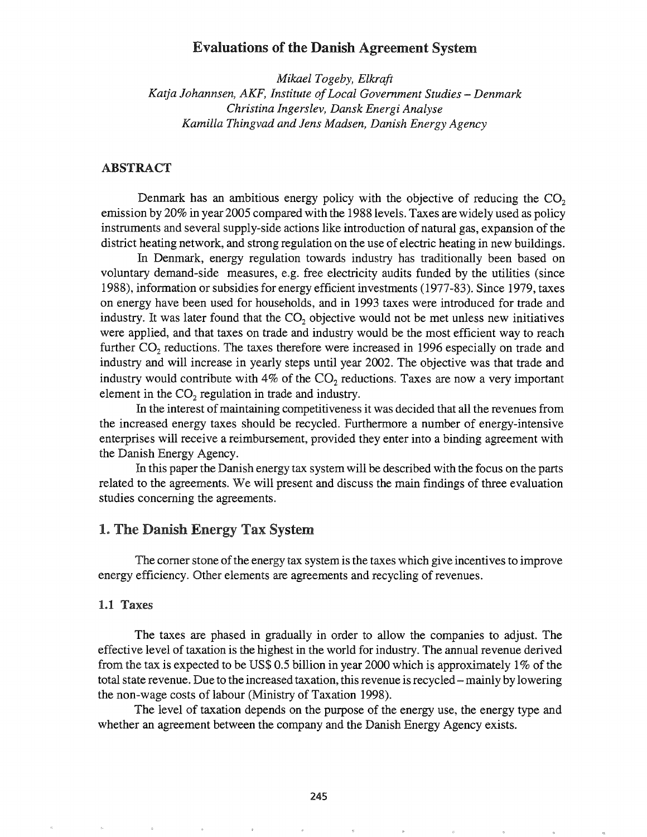## Evaluations of the Danish Agreement System

*Mikael Togeby, Elkraft Katja Johannsen, AKF, Institute ofLocal Government Studies* - *Denmark Christina Ingerslev, Dansk Energi Analyse Kamilla Thingvad and lens Madsen, Danish Energy Agency*

### ABSTRACT

Denmark has an ambitious energy policy with the objective of reducing the  $CO<sub>2</sub>$ emission by 20% in year 2005 compared with the 1988 levels. Taxes are widely used as policy instruments and several supply-side actions like introduction of natural gas, expansion of the district heating network, and strong regulation on the use of electric heating in new buildings.

In Denmark, energy regulation towards industry has traditionally been based on voluntary demand-side measures, e.g. free electricity audits funded by the utilities (since 1988), information or subsidies for energy efficient investments (1977-83). Since 1979, taxes on energy have been used for households, and in 1993 taxes were introduced for trade and industry. It was later found that the  $CO<sub>2</sub>$  objective would not be met unless new initiatives were applied, and that taxes on trade and industry would be the most efficient way to reach further  $CO<sub>2</sub>$  reductions. The taxes therefore were increased in 1996 especially on trade and industry and will increase in yearly steps until year 2002. The objective was that trade and industry would contribute with 4% of the  $CO<sub>2</sub>$  reductions. Taxes are now a very important element in the  $CO<sub>2</sub>$  regulation in trade and industry.

In the interest of maintaining competitiveness it was decided that all the revenues from the increased energy taxes should be recycled. Furthermore a number of energy-intensive enterprises will receive a reimbursement, provided they enter into a binding agreement with the Danish Energy Agency.

In this paper the Danish energy tax system will be described with the focus on the parts related to the agreements. We will present and discuss the main findings of three evaluation studies concerning the agreements.

### 1. The Danish Energy Tax System

The corner stone of the energy tax system is the taxes which give incentives to improve energy efficiency. Other elements are agreements and recycling of revenues.

#### 1.1 Taxes

The taxes are phased in gradually in order to allow the companies to adjust. The effective level of taxation is the highest in the world for industry. The annual revenue derived from the tax is expected to be US\$ 0.5 billion in year 2000 which is approximately 1% of the total state revenue. Due to the increased taxation, this revenue is recycled - mainly by lowering the non-wage costs of labour (Ministry of Taxation 1998).

The level of taxation depends on the purpose of the energy use, the energy type and whether an agreement between the company and the Danish Energy Agency exists.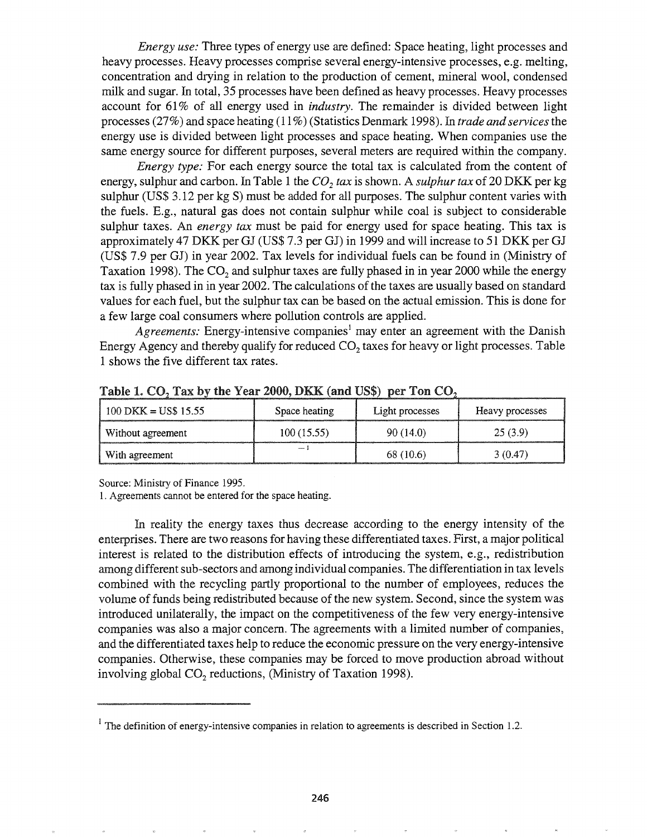*Energy use:* Three types of energy use are defined: Space heating, light processes and heavy processes. Heavy processes comprise several energy-intensive processes, e.g. melting, concentration and drying in relation to the production of cement, mineral wool, condensed milk and sugar. In total, 35 processes have been defined as heavy processes. Heavy processes account for 61 % of all energy used in *industry.* The remainder is divided between light processes (27%) and space heating (11 %) (Statistics Denmark 1998). In *trade and services*the energy use is divided between light processes and space heating. When companies use the same energy source for different purposes, several meters are required within the company.

*Energy type:* For each energy source the total tax is calculated from the content of energy, sulphur and carbon. In Table 1 the  $CO<sub>2</sub>$  *tax* is shown. A *sulphur tax* of 20 DKK per kg sulphur (US\$ 3.12 per kg S) must be added for all purposes. The sulphur content varies with the fuels. E.g., natural gas does not contain sulphur while coal is subject to considerable sulphur taxes. An *energy tax* must be paid for energy used for space heating. This tax is approximately 47 DKK per GJ (US\$ 7.3 per GJ) in 1999 and will increase to 51 DKK per GJ (US\$ 7.9 per GJ) in year 2002. Tax levels for individual fuels can be found in (Ministry of Taxation 1998). The  $CO<sub>2</sub>$  and sulphur taxes are fully phased in in year 2000 while the energy tax is fully phased in in year 2002. The calculations ofthe taxes are usually based on standard values for each fuel, but the sulphur tax can be based on the actual emission. This is done for a few large coal consumers where pollution controls are applied.

*Agreements:* Energy-intensive companies<sup>1</sup> may enter an agreement with the Danish Energy Agency and thereby qualify for reduced  $CO<sub>2</sub>$  taxes for heavy or light processes. Table 1 shows the five different tax rates.

| $100$ DKK = US\$ 15.55 | Space heating | Light processes | Heavy processes |
|------------------------|---------------|-----------------|-----------------|
| Without agreement      | 100(15.55)    | 90 (14.0)       | 25(3.9)         |
| With agreement         |               | 68 (10.6)       | 3(0.47)         |

Table 1.  $CO_2$  Tax by the Year 2000, DKK (and US\$) per Ton  $CO_2$ 

Source: Ministry of Finance 1995.

1. Agreements cannot be entered for the space heating.

In reality the energy taxes thus decrease according to the energy intensity of the enterprises. There are two reasons for having these differentiated taxes. First, a major political interest is related to the distribution effects of introducing the system, e.g., redistribution among different sub-sectors and among individual companies. The differentiation in tax levels combined with the recycling partly proportional to the number of employees, reduces the volume of funds being redistributed because of the new system. Second, since the system was introduced unilaterally, the impact on the competitiveness of the few very energy-intensive companies was also a major concern. The agreements with a limited number of companies, and the differentiated taxes help to reduce the economic pressure on the very energy-intensive companies. Otherwise, these companies may be forced to move production abroad without involving global  $CO<sub>2</sub>$  reductions, (Ministry of Taxation 1998).

 $1$  The definition of energy-intensive companies in relation to agreements is described in Section 1.2.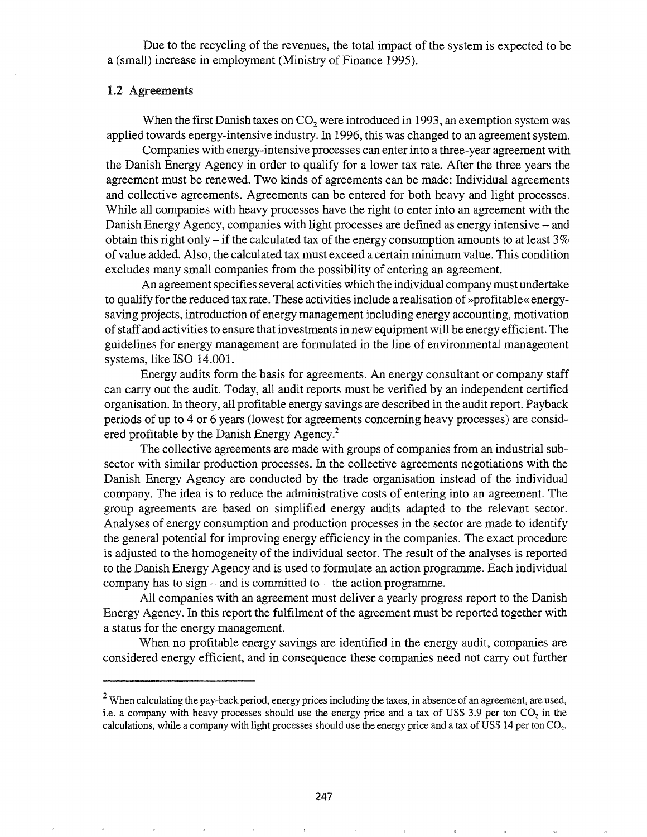Due to the recycling of the revenues, the total impact of the system is expected to be a (small) increase in employment (Ministry of Finance 1995).

#### 1.2 Agreements

When the first Danish taxes on  $CO<sub>2</sub>$  were introduced in 1993, an exemption system was applied towards energy-intensive industry. In 1996, this was changed to an agreement system.

Companies with energy-intensive processes can enter into a three-year agreement with the Danish Energy Agency in order to qualify for a lower tax rate. After the three years the agreement must be renewed. Two kinds of agreements can be made: Individual agreements and collective agreements. Agreements can be entered for both heavy and light processes. While all companies with heavy processes have the right to enter into an agreement with the Danish Energy Agency, companies with light processes are defined as energy intensive - and obtain this right only – if the calculated tax of the energy consumption amounts to at least  $3\%$ of value added. Also, the calculated tax must exceed a certain minimum value. This condition excludes many small companies from the possibility of entering an agreement.

An agreement specifies several activities which the individual company must undertake to qualify for the reduced tax rate. These activities include a realisation of »profitable« energysaving projects, introduction of energy management including energy accounting, motivation ofstaffand activities to ensure that investments in new equipment will be energy efficient. The guidelines for energy management are formulated in the line of environmental management systems, like ISO 14.001.

Energy audits form the basis for agreements. An energy consultant or company staff can carry out the audit. Today, all audit reports must be verified by an independent certified organisation. In theory, all profitable energy savings are described in the audit report. Payback periods of up to 4 or 6 years (lowest for agreements concerning heavy processes) are considered profitable by the Danish Energy Agency.<sup>2</sup>

The collective agreements are made with groups of companies from an industrial subsector with similar production processes. In the collective agreements negotiations with the Danish Energy Agency are conducted by the trade organisation instead of the individual company. The idea is to reduce the administrative costs of entering into an agreement. The group agreements are based on simplified energy audits adapted to the relevant sector. Analyses of energy consumption and production processes in the sector are made to identify the general potential for improving energy efficiency in the companies. The exact procedure is adjusted to the homogeneity of the individual sector. The result ofthe analyses is reported to the Danish Energy Agency and is used to formulate an action programme. Each individual company has to sign  $-$  and is committed to  $-$  the action programme.

All companies with an agreement must deliver a yearly progress report to the Danish Energy Agency. In this report the fulfilment of the agreement must be reported together with a status for the energy management.

When no profitable energy savings are identified in the energy audit, companies are considered energy efficient, and in consequence these companies need not carry out further

 $2$  When calculating the pay-back period, energy prices including the taxes, in absence of an agreement, are used, i.e. a company with heavy processes should use the energy price and a tax of US\$ 3.9 per ton  $CO<sub>2</sub>$  in the calculations, while a company with light processes should use the energy price and a tax of US\$ 14 per ton  $CO<sub>2</sub>$ .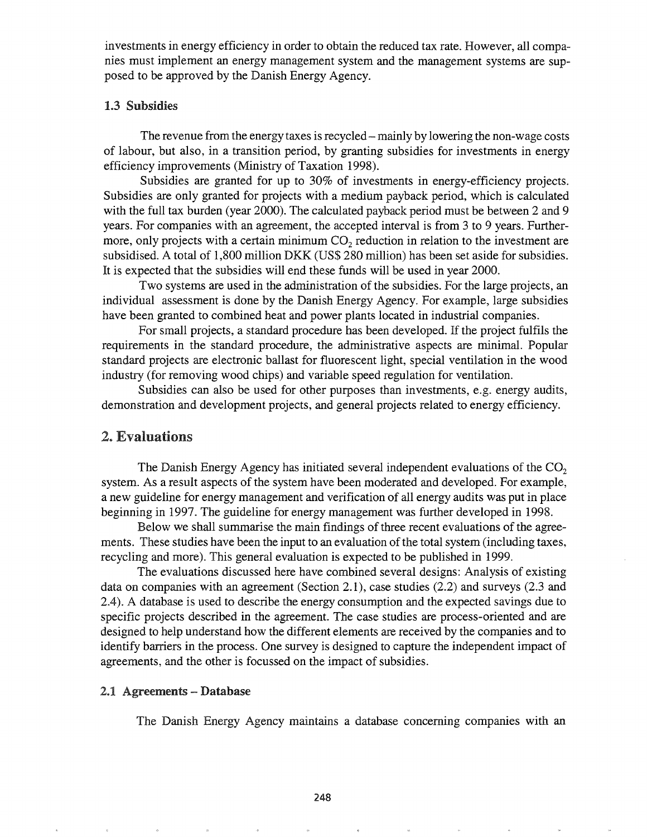investments in energy efficiency in order to obtain the reduced tax rate. However, all companies must implement an energy management system and the management systems are supposed to be approved by the Danish Energy Agency.

### 1.3 Subsidies

The revenue from the energy taxes is recycled – mainly by lowering the non-wage costs of labour, but also, in a transition period, by granting subsidies for investments in energy efficiency improvements (Ministry of Taxation 1998).

Subsidies are granted for up to 30% of investments in energy-efficiency projects. Subsidies are only granted for projects with a medium payback period, which is calculated with the full tax burden (year 2000). The calculated payback period must be between 2 and 9 years. For companies with an agreement, the accepted interval is from 3 to 9 years. Furthermore, only projects with a certain minimum  $CO<sub>2</sub>$  reduction in relation to the investment are subsidised. A total of 1,800 million DKK (US\$ 280 million) has been set aside for subsidies. It is expected that the subsidies will end these funds will be used in year 2000.

Two systems are used in the administration of the subsidies. For the large projects, an individual assessment is done by the Danish Energy Agency. For example, large subsidies have been granted to combined heat and power plants located in industrial companies.

For small projects, a standard procedure has been developed. If the project fulfils the requirements in the standard procedure, the administrative aspects are minimal. Popular standard projects are electronic ballast for fluorescent light, special ventilation in the wood industry (for removing wood chips) and variable speed regulation for ventilation.

Subsidies can also be used for other purposes than investments, e.g. energy audits, demonstration and development projects, and general projects related to energy efficiency.

### 2. Evaluations

The Danish Energy Agency has initiated several independent evaluations of the  $CO<sub>2</sub>$ system. As a result aspects of the system have been moderated and developed. For example, a new guideline for energy management and verification of all energy audits was put in place beginning in 1997. The guideline for energy management was further developed in 1998.

Below we shall summarise the main findings of three recent evaluations of the agreements. These studies have been the input to an evaluation of the total system (including taxes, recycling and more). This general evaluation is expected to be published in 1999.

The evaluations discussed here have combined several designs: Analysis of existing data on companies with an agreement (Section 2.1), case studies (2.2) and surveys (2.3 and 2.4). A database is used to describe the energy consumption and the expected savings due to specific projects described in the agreement. The case studies are process-oriented and are designed to help understand how the different elements are received by the companies and to identify barriers in the process. One survey is designed to capture the independent impact of agreements, and the other is focussed on the impact of subsidies.

#### 2.1 Agreements - Database

The Danish Energy Agency maintains a database concerning companies with an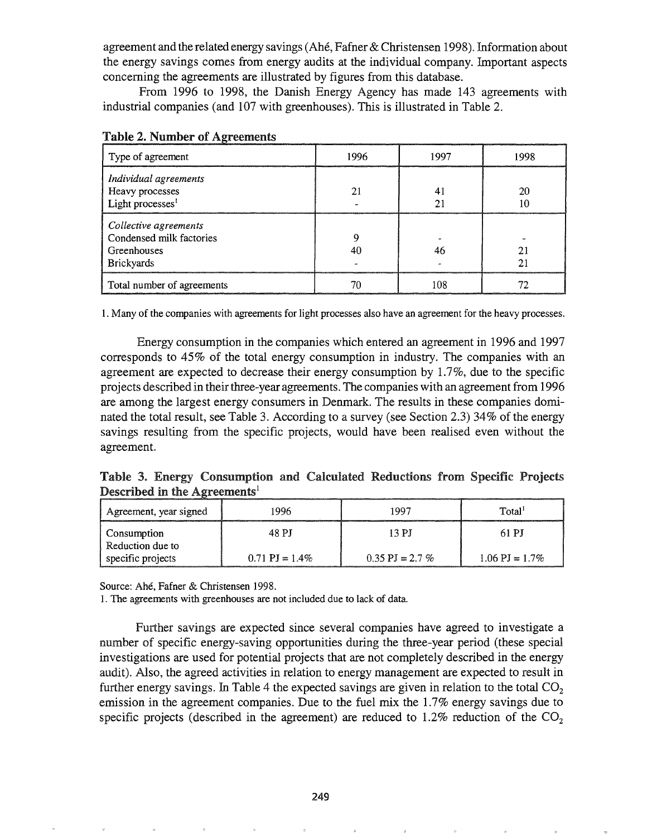agreement and the related energy savings (Ahe, Fafner& Christensen 1998). Information about the energy savings comes from energy audits at the individual company. Important aspects concerning the agreements are illustrated by figures from this database.

From 1996 to 1998, the Danish Energy Agency has made 143 agreements with industrial companies (and 107 with greenhouses). This is illustrated in Table 2.

| Type of agreement                                                                     | 1996 | 1997 | 1998 |
|---------------------------------------------------------------------------------------|------|------|------|
| Individual agreements<br>Heavy processes<br>Light processes $1$                       |      | 4    | 20   |
| Collective agreements<br>Condensed milk factories<br>Greenhouses<br><b>Brickyards</b> |      | 46   |      |
| Total number of agreements                                                            |      | ۱08  |      |

|  | <b>Table 2. Number of Agreements</b> |  |  |
|--|--------------------------------------|--|--|
|  |                                      |  |  |

1. Many of the companies with agreements for light processes also have an agreement for the heavy processes.

Energy consumption in the companies which entered an agreement in 1996 and 1997 corresponds to 45% of the total energy consumption in industry. The companies with an agreement are expected to decrease their energy consumption by 1.7%, due to the specific projects described in theirthree-year agreements. The companies with an agreementfrom 1996 are among the largest energy consumers in Denmark. The results in these companies dominated the total result, see Table 3. According to a survey (see Section 2.3) 34% of the energy savings resulting from the specific projects, would have been realised even without the agreement

Described in the Agreements<sup>1</sup> Table 3. Energy Consumption and Calculated Reductions from Specific Projects

| Agreement, year signed                 | 1996                      | 1997                       | Total <sup>1</sup>        |
|----------------------------------------|---------------------------|----------------------------|---------------------------|
| <b>Consumption</b><br>Reduction due to | 48 PJ                     | 13 P.I                     | 61 PI                     |
| specific projects                      | $0.71 \text{ PI} = 1.4\%$ | $0.35 \text{ PI} = 2.7 \%$ | $1.06 \text{ PI} = 1.7\%$ |

Source: Ahe, Fafner & Christensen 1998.

1. The agreements with greenhouses are not included due to lack of data.

Further savings are expected since several companies have agreed to investigate a number of specific energy-saving opportunities during the three-year period (these special investigations are used for potential projects that are not completely described in the energy audit). Also, the agreed activities in relation to energy management are expected to result in further energy savings. In Table 4 the expected savings are given in relation to the total  $CO<sub>2</sub>$ emission in the agreement companies. Due to the fuel mix the 1.7% energy savings due to specific projects (described in the agreement) are reduced to 1.2% reduction of the  $CO<sub>2</sub>$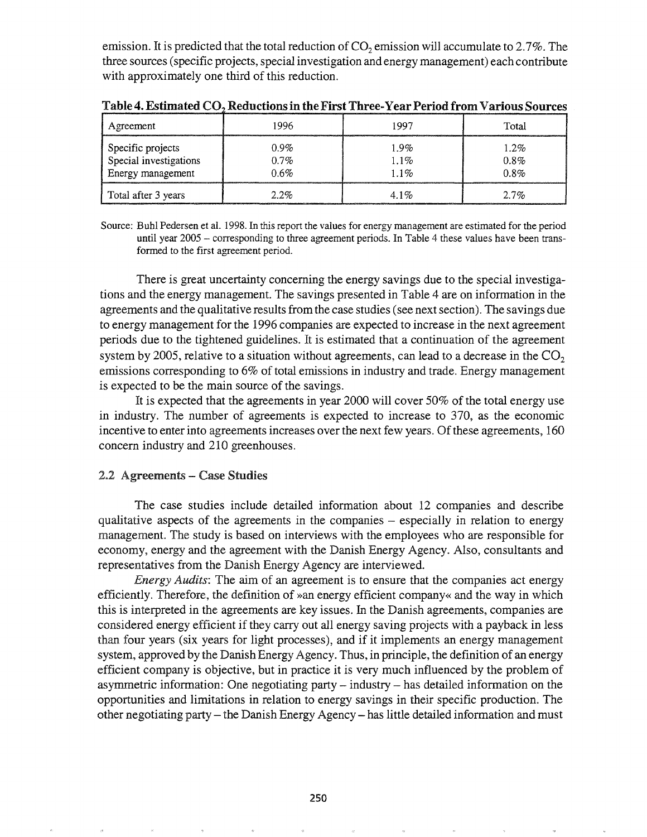emission. It is predicted that the total reduction of  $CO<sub>2</sub>$  emission will accumulate to 2.7%. The three sources (specific projects, special investigation and energy management) each contribute with approximately one third of this reduction.

| Agreement                                                        | 1996                       | 1997                    | Total                |
|------------------------------------------------------------------|----------------------------|-------------------------|----------------------|
| Specific projects<br>Special investigations<br>Energy management | $0.9\%$<br>$0.7\%$<br>0.6% | 1.9%<br>1.1%<br>$1.1\%$ | 1.2%<br>0.8%<br>0.8% |
| Total after 3 years                                              | 2.2%                       | $4.1\%$                 | 2.7%                 |

Table 4. Estimated  ${\rm CO_2}$  Reductions in the First Three-Year Period from Various Sources

Source: Buhl Pedersen et al. 1998. In this report the values for energy management are estimated for the period until year 2005 - corresponding to three agreement periods. In Table 4 these values have been transformed to the first agreement period.

There is great uncertainty concerning the energy savings due to the special investigations and the energy management. The savings presented in Table 4 are on information in the agreements and the qualitative results from the case studies (see next section). The savings due to energy management for the 1996 companies are expected to increase in the next agreement periods due to the tightened guidelines. It is estimated that a continuation of the agreement system by 2005, relative to a situation without agreements, can lead to a decrease in the  $CO<sub>2</sub>$ emissions corresponding to 6% of total emissions in industry and trade. Energy management is expected to be the main source of the savings.

It is expected that the agreements in year 2000 will cover 50% of the total energy use in industry. The number of agreements is expected to increase to 370, as the economic incentive to enter into agreements increases over the next few years. Of these agreements, 160 concern industry and 210 greenhouses.

### 2.2 Agreements - Case Studies

The case studies include detailed information about 12 companies and describe qualitative aspects of the agreements in the companies – especially in relation to energy management. The study is based on interviews with the employees who are responsible for economy, energy and the agreement with the Danish Energy Agency. Also, consultants and representatives from the Danish Energy Agency are interviewed.

*Energy Audits:* The aim of an agreement is to ensure that the companies act energy efficiently. Therefore, the definition of »an energy efficient company« and the way in which this is interpreted in the agreements are key issues. In the Danish agreements, companies are considered energy efficient if they carry out all energy saving projects with a payback in less than four years (six years for light processes), and if it implements an energy management system, approved by the Danish Energy Agency. Thus, in principle, the definition of an energy efficient company is objective, but in practice it is very much influenced by the problem of asymmetric information: One negotiating party - industry - has detailed information on the opportunities and limitations in relation to energy savings in their specific production. The other negotiating party - the Danish Energy Agency - has little detailed information and must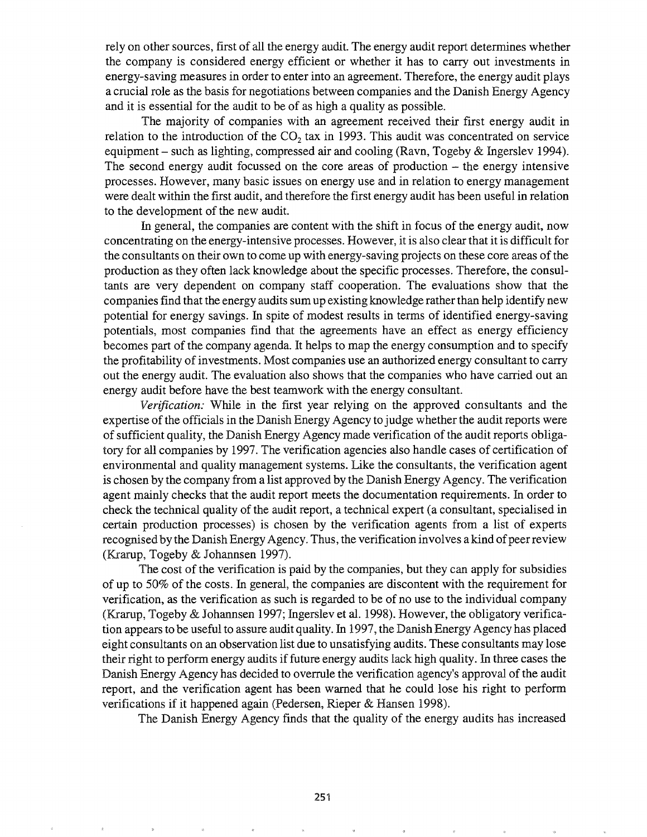rely on other sources, first of all the energy audit. The energy audit report determines whether the company is considered energy efficient or whether it has to carry out investments in energy-saving measures in order to enter into an agreement. Therefore, the energy audit plays a crucial role as the basis for negotiations between companies and the Danish Energy Agency and it is essential for the audit to be of as high a quality as possible.

The majority of companies with an agreement received their first energy audit in relation to the introduction of the  $CO<sub>2</sub>$  tax in 1993. This audit was concentrated on service equipment – such as lighting, compressed air and cooling (Ravn, Togeby  $\&$  Ingerslev 1994). The second energy audit focussed on the core areas of production  $-$  the energy intensive processes. However, many basic issues on energy use and in relation to energy management were dealt within the first audit, and therefore the first energy audit has been useful in relation to the development of the new audit.

In general, the companies are content with the shift in focus of the energy audit, now concentrating on the energy-intensive processes. However, it is also clear that it is difficult for the consultants on their own to come up with energy-saving projects on these core areas of the production as they often lack knowledge about the specific processes. Therefore, the consultants are very dependent on company staff cooperation. The evaluations show that the companies find that the energy audits sum up existing knowledge rather than help identify new potential for energy savings. In spite of modest results in terms of identified energy-saving potentials, most companies find that the agreements have an effect as energy efficiency becomes part of the company agenda. It helps to map the energy consumption and to specify the profitability of investments. Most companies use an authorized energy consultant to carry out the energy audit. The evaluation also shows that the companies who have carried out an energy audit before have the best teamwork with the energy consultant.

*Verification:* While in the first year relying on the approved consultants and the expertise of the officials in the Danish Energy Agency to judge whether the audit reports were of sufficient quality, the Danish Energy Agency made verification of the audit reports obligatory for all companies by 1997. The verification agencies also handle cases of certification of environmental and quality management systems. Like the consultants, the verification agent is chosen by the company from a list approved by the Danish Energy Agency. The verification agent mainly checks that the audit report meets the documentation requirements. In order to check the technical quality of the audit report, a technical expert (a consultant, specialised in certain production processes) is chosen by the verification agents from a list of experts recognised by the Danish Energy Agency. Thus, the verification involves a kind of peer review (Krarup, Togeby & Johannsen 1997).

The cost of the verification is paid by the companies, but they can apply for subsidies of up to  $50\%$  of the costs. In general, the companies are discontent with the requirement for verification, as the verification as such is regarded to be of no use to the individual company (Krarup, Togeby & Johannsen 1997; Ingerslev et al. 1998). However, the obligatory verification appears to be useful to assure audit quality. In 1997, the Danish Energy Agency has placed eight consultants on an observation list due to unsatisfying audits. These consultants may lose their right to perform energy audits iffuture energy audits lack high quality. In three cases the Danish Energy Agency has decided to overrule the verification agency's approval of the audit report, and the verification agent has been warned that he could lose his right to perform verifications if it happened again (Pedersen, Rieper & Hansen 1998).

The Danish Energy Agency finds that the quality of the energy audits has increased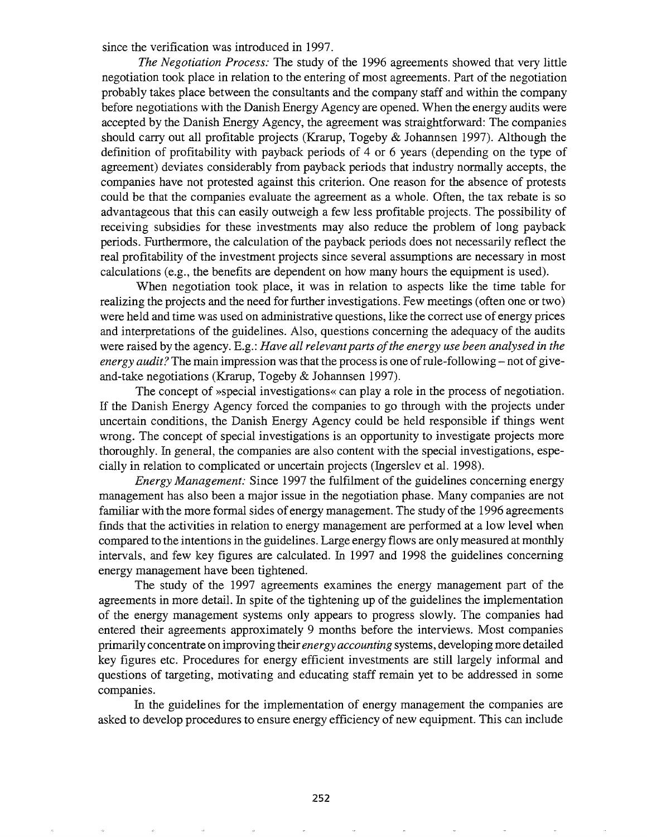since the verification was introduced in 1997.

*The Negotiation Process:* The study of the 1996 agreements showed that very little negotiation took place in relation to the entering of most agreements. Part of the negotiation probably takes place between the consultants and the company staff and within the company before negotiations with the Danish Energy Agency are opened. When the energy audits were accepted by the Danish Energy Agency, the agreement was straightforward: The companies should carry out all profitable projects (Krarup, Togeby & Johannsen 1997). Although the definition of profitability with payback periods of 4 or 6 years (depending on the type of agreement) deviates considerably from payback periods that industry normally accepts, the companies have not protested against this criterion. One reason for the absence of protests could be that the companies evaluate the agreement as a whole. Often, the tax rebate is so advantageous that this can easily outweigh a few less profitable projects. The possibility of receiving subsidies for these investments may also reduce the problem of long payback periods. Furthermore, the calculation of the payback periods does not necessarily reflect the real profitability of the investment projects since several assumptions are necessary in most calculations (e.g., the benefits are dependent on how many hours the equipment is used).

When negotiation took place, it was in relation to aspects like the time table for realizing the projects and the need for further investigations. Few meetings (often one or two) were held and time was used on administrative questions, like the correct use of energy prices and interpretations of the guidelines. Also, questions concerning the adequacy of the audits were raised by the agency. E.g.: *Have all relevantparts ofthe energy use been analysed in the energy audit?* The main impression was that the process is one of rule-following – not of giveand-take negotiations (Krarup, Togeby & Johannsen 1997).

The concept of »special investigations« can playa role in the process of negotiation. If the Danish Energy Agency forced the companies to go through with the projects under uncertain conditions, the Danish Energy Agency could be held responsible if things went wrong. The concept of special investigations is an opportunity to investigate projects more thoroughly. In general, the companies are also content with the special investigations, especially in relation to complicated or uncertain projects (Ingerslev et al. 1998).

*Energy Management:* Since 1997 the fulfilment of the guidelines concerning energy management has also been a major issue in the negotiation phase. Many companies are not familiar with the more formal sides of energy management. The study of the 1996 agreements finds that the activities in relation to energy management are performed at a low level when compared to the intentions in the guidelines. Large energy flows are only measured at monthly intervals, and few key figures are calculated. In 1997 and 1998 the guidelines concerning energy management have been tightened.

The study of the 1997 agreements examines the energy management part of the agreements in more detail. In spite of the tightening up of the guidelines the implementation of the energy management systems only appears to progress slowly. The companies had entered their agreements approximately 9 months before the interviews. Most companies primarily concentrate on improving their *energy accounting* systems, developing more detailed key figures etc. Procedures for energy efficient investments are still largely informal and questions of targeting, motivating and educating staff remain yet to be addressed in some companies.

In the guidelines for the implementation of energy management the companies are asked to develop procedures to ensure energy efficiency of new equipment. This can include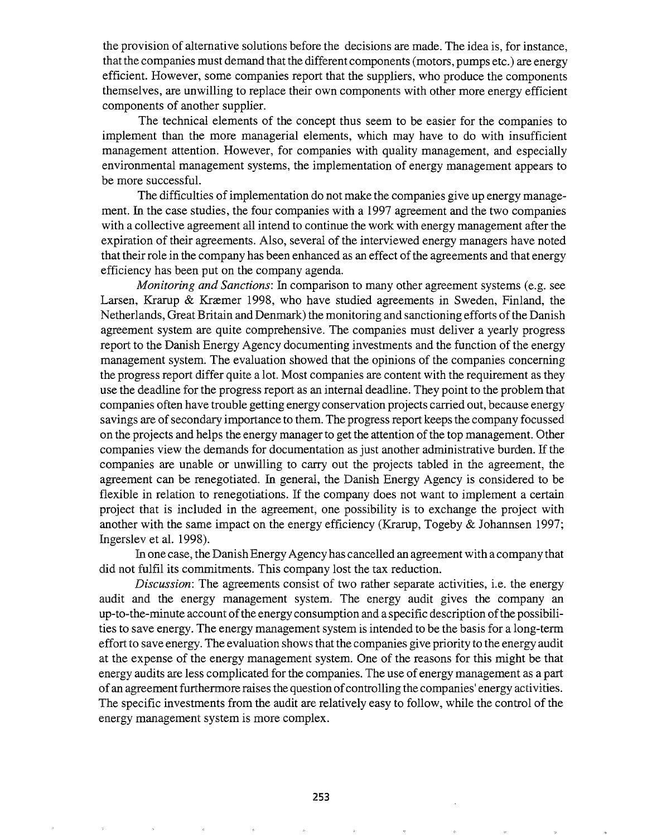the provision of alternative solutions before the decisions are made. The idea is, for instance, that the companies must demand that the different components (motors, pumps etc.) are energy efficient. However, some companies report that the suppliers, who produce the components themselves, are unwilling to replace their own components with other more energy efficient components of another supplier.

The technical elements of the concept thus seem to be easier for the companies to implement than the more managerial elements, which may have to do with insufficient management attention. However, for companies with quality management, and especially environmental management systems, the implementation of energy management appears to be more successful.

The difficulties of implementation do not make the companies give up energy management. In the case studies, the four companies with a 1997 agreement and the two companies with a collective agreement all intend to continue the work with energy management after the expiration of their agreements. Also, several of the interviewed energy managers have noted that their role in the company has been enhanced as an effect ofthe agreements and that energy efficiency has been put on the company agenda.

*Monitoring and Sanctions:* In comparison to many other agreement systems (e.g. see Larsen, Krarup & Kræmer 1998, who have studied agreements in Sweden, Finland, the Netherlands, Great Britain and Denmark) the monitoring and sanctioning efforts ofthe Danish agreement system are quite comprehensive. The companies must deliver a yearly progress report to the Danish Energy Agency documenting investments and the function ofthe energy management system. The evaluation showed that the opinions of the companies concerning the progress report differ quite a lot. Most companies are content with the requirement as they use the deadline for the progress report as an internal deadline. They point to the problem that companies often have trouble getting energy conservation projects carried out, because energy savings are of secondary importance to them. The progress report keeps the company focussed on the projects and helps the energy manager to get the attention of the top management. Other companies view the demands for documentation as just another administrative burden. If the companies are unable or unwilling to carry out the projects tabled in the agreement, the agreement can be renegotiated. In general, the Danish Energy Agency is considered to be flexible in relation to renegotiations. If the company does not want to implement a certain project that is included in the agreement, one possibility is to exchange the project with another with the same impact on the energy efficiency (Krarup, Togeby  $\&$  Johannsen 1997; Ingerslev et aL 1998).

In one case, the Danish Energy Agency has cancelled an agreement with a company that did not fulfil its commitments. This company lost the tax reduction.

*Discussion:* The agreements consist of two rather separate activities, i.e. the energy audit and the energy management system. The energy audit gives the company an up-to-the-minute account ofthe energy consumption and a specific description ofthe possibilities to save energy. The energy management system is intended to be the basis for a long-term effort to save energy. The evaluation shows that the companies give priority to the energy audit at the expense of the energy management system. One of the reasons for this might be that energy audits are less complicated for the companies. The use of energy management as a part of an agreement furthermore raises the question of controlling the companies' energy activities. The specific investments from the audit are relatively easy to follow, while the control of the energy management system is more complex.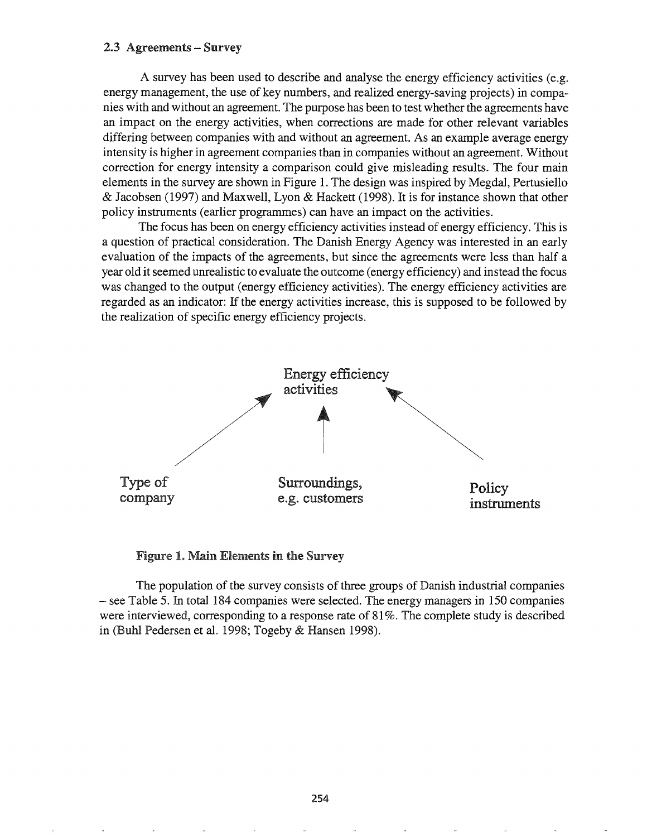#### 2.3 Agreements - Survey

A survey has been used to describe and analyse the energy efficiency activities (e.g. energy management, the use of key numbers, and realized energy-saving projects) in companies with and without an agreement. The purpose has been to test whether the agreements have an impact on the energy activities, when corrections are made for other relevant variables differing between companies with and without an agreement. As an example average energy intensity is higher in agreement companies than in companies without an agreement. Without correction for energy intensity a comparison could give misleading results. The four main elements in the survey are shown in Figure 1. The design was inspired by Megdal, Pertusiello & Jacobsen (1997) and Maxwell, Lyon & Hackett (1998). It is for instance shown that other policy instruments (earlier programmes) can have an impact on the activities.

The focus has been on energy efficiency activities instead of energy efficiency. This is a question of practical consideration. The Danish Energy Agency was interested in an early evaluation of the impacts of the agreements, but since the agreements were less than half a year old it seemed unrealistic to evaluate the outcome (energy efficiency) and instead the focus was changed to the output (energy efficiency activities). The energy efficiency activities are regarded as an indicator: If the energy activities increase, this is supposed to be followed by the realization of specific energy efficiency projects.



**Figure 1. Main Elements in the Survey** 

The population of the survey consists of three groups of Danish industrial companies - see Table 5. In total 184 companies were selected. The energy managers in 150 companies were interviewed, corresponding to a response rate of 81 %. The complete study is described (Buhl Pedersen et al. 1998; Togeby & Hansen 1998).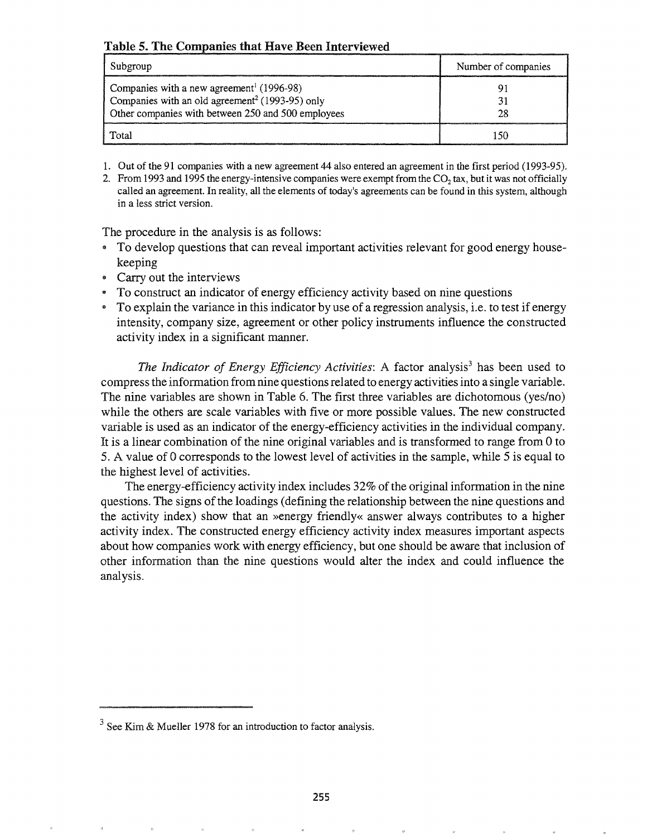## Table 5. The Companies that Have Been Interviewed

| Subgroup                                                                                                                                                                   | Number of companies |
|----------------------------------------------------------------------------------------------------------------------------------------------------------------------------|---------------------|
| Companies with a new agreement <sup>1</sup> (1996-98)<br>Companies with an old agreement <sup>2</sup> (1993-95) only<br>Other companies with between 250 and 500 employees |                     |
| Total                                                                                                                                                                      | -50                 |

- 1. Out of the 91 companies with a new agreement 44 also entered an agreement in the first period (1993-95).
- 2. From 1993 and 1995 the energy-intensive companies were exempt from the CO<sub>2</sub> tax, but it was not officially called an agreement. In reality, all the elements of today's agreements can be found in this system, although in a less strict version.

The procedure in the analysis is as follows:

- .. To develop questions that can reveal important activities relevant for good energy housekeeping
- Carry out the interviews
- <sup>e</sup> To construct an indicator of energy efficiency activity based on nine questions
- To explain the variance in this indicator by use of a regression analysis, i.e. to test if energy intensity, company size, agreement or other policy instruments influence the constructed activity index in a significant manner.

*The Indicator of Energy Efficiency Activities:* A factor analysis<sup>3</sup> has been used to compress the information from nine questions related to energy activitiesinto a single variable. The nine variables are shown in Table 6. The first three variables are dichotomous (yes/no) while the others are scale variables with five or more possible values. The new constructed variable is used as an indicator of the energy-efficiency activities in the individual company. It is a linear combination of the nine original variables and is transformed to range from 0 to 5. A value of 0 corresponds to the lowest level of activities in the sample, while 5 is equal to the highest level of activities.

The energy-efficiency activity index includes  $32\%$  of the original information in the nine questions. The signs of the loadings (defining the relationship between the nine questions and the activity index) show that an »energy friendly« answer always contributes to a higher activity index. The constructed energy efficiency activity index measures important aspects about how companies work with energy efficiency, but one should be aware that inclusion of other information than the nine questions would alter the index and could influence the analysis.

 $3$  See Kim & Mueller 1978 for an introduction to factor analysis.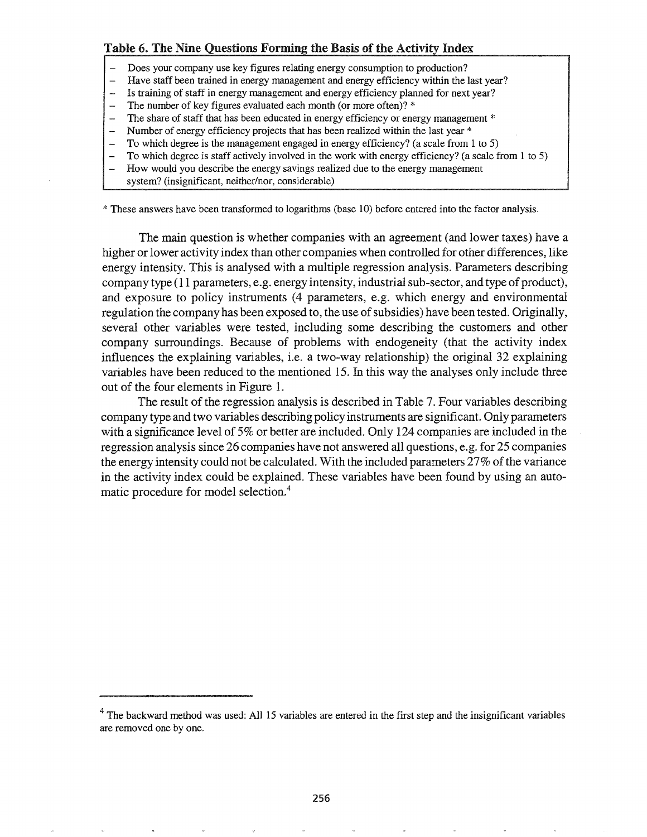## Table 6. The Nine Questions Forming the Basis of the Activity Index

- Does your company use key figures relating energy consumption to production?
- Have staff been trained in energy management and energy efficiency within the last year?
- Is training of staff in energy management and energy efficiency planned for next year?
- The number of key figures evaluated each month (or more often)? \*
- The share of staff that has been educated in energy efficiency or energy management  $*$
- Number of energy efficiency projects that has been realized within the last year \*
- To which degree is the management engaged in energy efficiency? (a scale from 1 to 5)
- To which degree is staff actively involved in the work with energy efficiency? (a scale from 1 to 5)
- How would you describe the energy savings realized due to the energy management
- system? (insignificant, neither/nor, considerable)

\* These answers have been transformed to logarithms (base 10) before entered into the factor analysis.

The main question is whether companies with an agreement (and lower taxes) have a higher or lower activity index than other companies when controlled for other differences, like energy intensity. This is analysed with a multiple regression analysis. Parameters describing company type (11 parameters, e.g. energy intensity, industrial sub-sector, and type of product), and exposure to policy instruments (4 parameters, e.g. which energy and environmental regulation the company has been exposed to, the use of subsidies) have been tested. Originally, several other variables were tested, including some describing the customers and other company surroundings. Because of problems with endogeneity (that the activity index influences the explaining variables, i.e. a two-way relationship) the original 32 explaining variables have been reduced to the mentioned 15. In this way the analyses only include three out of the four elements in Figure 1.

The result of the regression analysis is described in Table 7. Four variables describing company type and two variables describing policy instruments are significant. Only parameters with a significance level of 5% or better are included. Only 124 companies are included in the regression analysis since 26 companies have not answered all questions, e.g. for 25 companies the energy intensity could not be calculated. With the included parameters  $27\%$  of the variance in the activity index could be explained. These variables have been found by using an automatic procedure for model selection.<sup>4</sup>

 $4$  The backward method was used: All 15 variables are entered in the first step and the insignificant variables are removed one by one.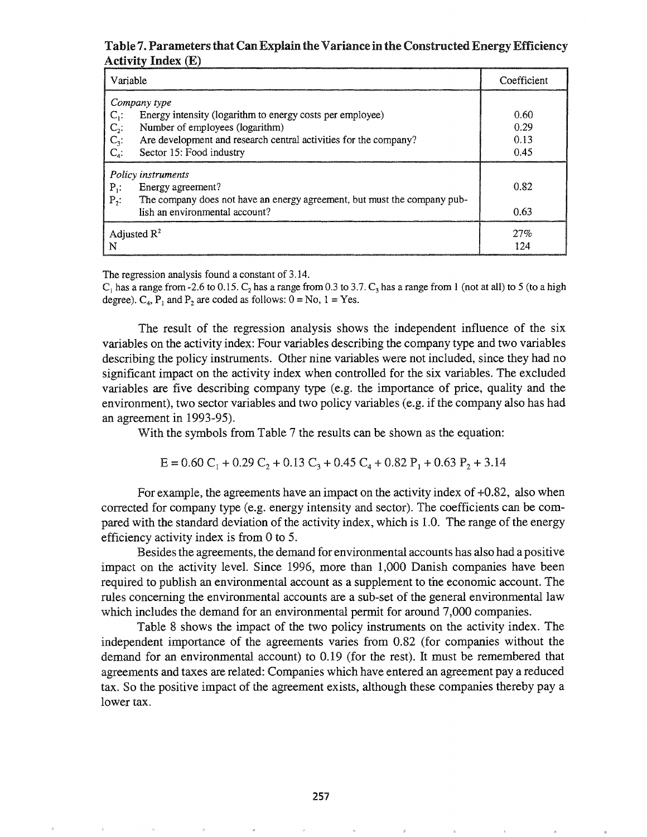## Table 7. Parameters that Can Explain the Variance in the Constructed Energy Efficiency Activity Index (E)

| Variable                                                                              | Coefficient |
|---------------------------------------------------------------------------------------|-------------|
| Company type                                                                          |             |
| $C_i$ :<br>Energy intensity (logarithm to energy costs per employee)                  | 0.60        |
| Number of employees (logarithm)                                                       | 0.29        |
| Are development and research central activities for the company?                      | 0.13        |
| $C_2$ :<br>$C_3$ :<br>$C_4$ :<br>Sector 15: Food industry                             | 0.45        |
| Policy instruments                                                                    |             |
| $P_1$ :<br>Energy agreement?                                                          | 0.82        |
| The company does not have an energy agreement, but must the company pub-<br>$P_{2}$ : |             |
| lish an environmental account?                                                        | 0.63        |
| Adjusted $\mathbb{R}^2$                                                               | 27%         |
| N                                                                                     | 124         |

The regression analysis found a constant of 3.14.

 $C_1$  has a range from -2.6 to 0.15.  $C_2$  has a range from 0.3 to 3.7.  $C_3$  has a range from 1 (not at all) to 5 (to a high degree).  $C_4$ ,  $P_1$  and  $P_2$  are coded as follows:  $0 = No$ ,  $1 = Yes$ .

The result of the regression analysis shows the independent influence of the six variables on the activity index: Four variables describing the company type and two variables describing the policy instruments. Other nine variables were not included, since they had no significant impact on the activity index when controlled for the six variables. The excluded variables are five describing company type (e.g. the importance of price, quality and the environment), two sector variables and two policy variables (e.g. if the company also has had an agreement in 1993-95).

With the symbols from Table 7 the results can be shown as the equation:

$$
E = 0.60 C_1 + 0.29 C_2 + 0.13 C_3 + 0.45 C_4 + 0.82 P_1 + 0.63 P_2 + 3.14
$$

For example, the agreements have an impact on the activity index of  $+0.82$ , also when corrected for company type (e.g. energy intensity and sector). The coefficients can be compared with the standard deviation of the activity index, which is 1.0. The range of the energy efficiency activity index is from 0 to 5.

Besides the agreements, the demand for environmental accounts has also had a positive impact on the activity leveL Since 1996, more than 1,000 Danish companies have been required to publish an environmental account as a supplement to the economic account. The rules concerning the environmental accounts are a sub-set of the general environmental law which includes the demand for an environmental permit for around 7,000 companies.

Table 8 shows the impact of the two policy instruments on the activity index. The independent importance of the agreements varies from 0.82 (for companies without the demand for an environmental account) to 0.19 (for the rest). It must be remembered that agreements and taxes are related: Companies which have entered an agreement pay a reduced tax. So the positive impact of the agreement exists, although these companies thereby pay a lower tax.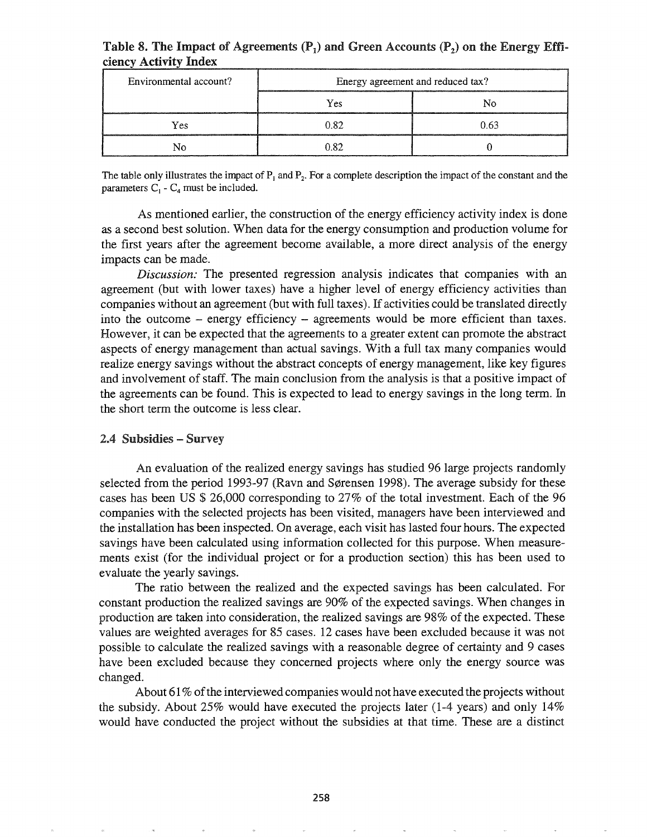| ciency Activity Index  |                                   |      |  |  |
|------------------------|-----------------------------------|------|--|--|
| Environmental account? | Energy agreement and reduced tax? |      |  |  |
|                        | Yes                               |      |  |  |
| Yes                    | O 82                              | 0.63 |  |  |
|                        |                                   |      |  |  |

## Table 8. The Impact of Agreements  $(P_1)$  and Green Accounts  $(P_2)$  on the Energy Efficiency Activity Index

The table only illustrates the impact of  $P_1$  and  $P_2$ . For a complete description the impact of the constant and the parameters  $C_1$  -  $C_4$  must be included.

As mentioned earlier, the construction of the energy efficiency activity index is done as a second best solution. When data for the energy consumption and production volume for the first years after the agreement become available, a more direct analysis of the energy impacts can be made.

*Discussion:* The presented regression analysis indicates that companies with an agreement (but with lower taxes) have a higher level of energy efficiency activities than companies without an agreement (but with full taxes). If activities could be translated directly into the outcome – energy efficiency – agreements would be more efficient than taxes. However, it can be expected that the agreements to a greater extent can promote the abstract aspects of energy management than actual savings. With a full tax many companies would realize energy savings without the abstract concepts of energy management, like key figures and involvement of staff. The main conclusion from the analysis is that a positive impact of the agreements can be found. This is expected to lead to energy savings in the long term. In the short term the outcome is less clear.

### 2.4 Subsidies – Survey

An evaluation of the realized energy savings has studied 96 large projects randomly selected from the period 1993-97 (Ravn and Sørensen 1998). The average subsidy for these cases has been US \$ 26,000 corresponding to 27% of the total investment. Each of the 96 companies with the selected projects has been visited, managers have been interviewed and the installation has been inspected. On average, each visit has lasted four hours. The expected savings have been calculated using information collected for this purpose. When measurements exist (for the individual project or for a production section) this has been used to evaluate the yearly savings.

The ratio between the realized and the expected savings has been calculated. For constant production the realized savings are 90% of the expected savings. When changes in production are taken into consideration, the realized savings are 98% of the expected. These values are weighted averages for 85 cases. 12 cases have been excluded because it was not possible to calculate the realized savings with a reasonable degree of certainty and 9 cases have been excluded because they concerned projects where only the energy source was changed.

About  $61\%$  of the interviewed companies would not have executed the projects without the subsidy. About 25% would have executed the projects later  $(1-4 \text{ years})$  and only 14% would have conducted the project without the subsidies at that time. These are a distinct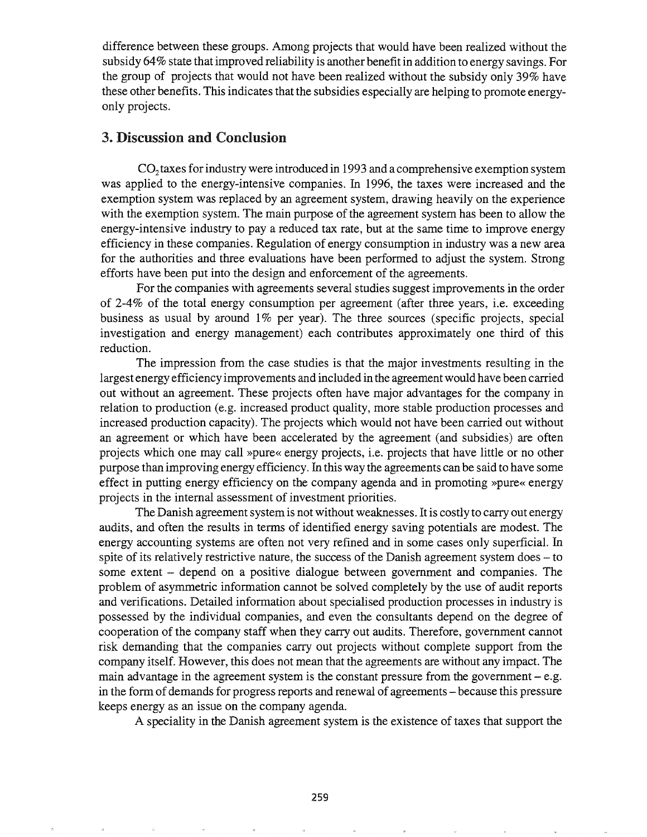difference between these groups. Among projects that would have been realized without the subsidy 64% state that improved reliability is another benefit in addition to energy savings. For the group of projects that would not have been realized without the subsidy only 39% have these other benefits. This indicates that the subsidies especially are helping to promote energyonly projects.

## 3. Discussion and Conclusion

 $CO<sub>2</sub>$  taxes for industry were introduced in 1993 and a comprehensive exemption system was applied to the energy-intensive companies. In 1996, the taxes were increased and the exemption system was replaced by an agreement system, drawing heavily on the experience with the exemption system. The main purpose of the agreement system has been to allow the energy-intensive industry to pay a reduced tax rate, but at the same time to improve energy efficiency in these companies. Regulation of energy consumption in industry was a new area for the authorities and three evaluations have been performed to adjust the system. Strong efforts have been put into the design and enforcement of the agreements.

For the companies with agreements several studies suggest improvements in the order of 2-4% of the total energy consumption per agreement (after three years, i.e. exceeding business as usual by around 1% per year). The three sources (specific projects, special investigation and energy management) each contributes approximately one third of this reduction.

The impression from the case studies is that the major investments resulting in the largest energy efficiency improvements and included in the agreement would have been carried out \ivithout an agreement. These projects often have major advantages for the company in relation to production (e.g. increased product quality, more stable production processes and increased production capacity). The projects which would not have been carried out without an agreement or which have been accelerated by the agreement (and subsidies) are often projects which one may call »pure« energy projects, i.e. projects that have little or no other purpose than improving energy efficiency. In this way the agreements can be said to have some effect in putting energy efficiency on the company agenda and in promoting »pure« energy projects in the internal assessment of investment priorities.

The Danish agreement system is not without weaknesses. It is costly to carry out energy audits, and often the results in terms of identified energy saving potentials are modest. The energy accounting systems are often not very refined and in some cases only superficial. fu spite of its relatively restrictive nature, the success of the Danish agreement system does - to some extent - depend on a positive dialogue between government and companies. The problem of asymmetric information cannot be solved completely by the use of audit reports and verifications. Detailed information about specialised production processes in industry is possessed by the individual companies, and even the consultants depend on the degree of cooperation of the company staff when they carry out audits. Therefore, government cannot risk demanding that the companies carry out projects without complete support from the company itself. However, this does not mean that the agreements are without any impact. The main advantage in the agreement system is the constant pressure from the government  $-e.g.$ in the form of demands for progress reports and renewal of agreements – because this pressure keeps energy as an issue on the company agenda.

A speciality in the Danish agreement system is the existence of taxes that support the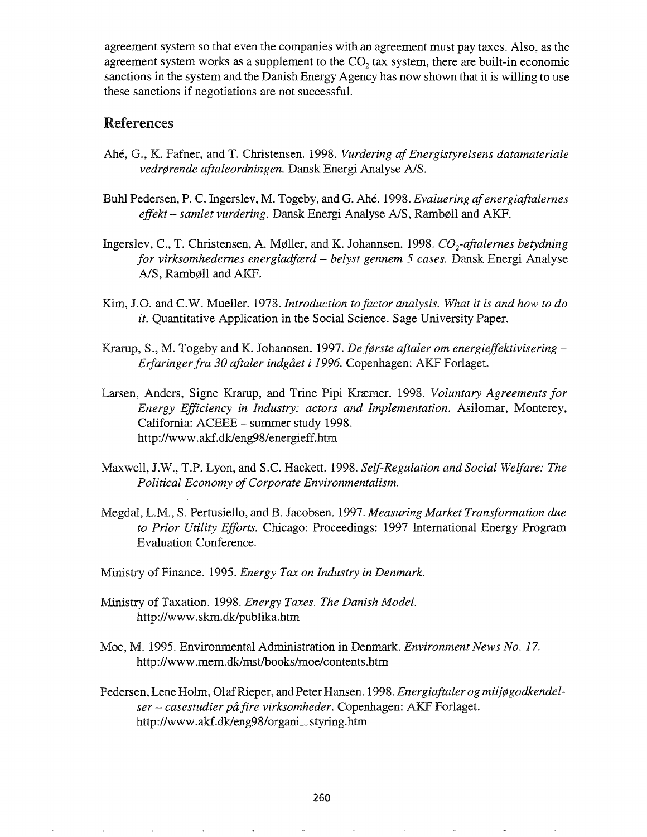agreement system so that even the companies with an agreement must pay taxes. Also, as the agreement system works as a supplement to the  $CO<sub>2</sub>$  tax system, there are built-in economic sanctions in the system and the Danish Energy Agency has now shown that it is willing to use these sanctions if negotiations are not successful.

# References

- Ahé, G., K. Fafner, and T. Christensen. 1998. *Vurdering af Energistyrelsens datamateriale vedr¢rende aftaleordningen.* Dansk Energi Analyse *AlS.*
- Buhl Pedersen, P. C. Ingerslev, M. Togeby, and G. Ahe. 1998. *Evaluering afenergiaftalernes effekt- samlet vurdering.* Dansk Energi Analyse *AlS,* Rambpll and AKF.
- Ingerslev, C., T. Christensen, A. Møller, and K. Johannsen. 1998. *CO<sub>2</sub>-aftalernes betydning for virksomhedernes energiadfcerd* - *belyst gennem* 5 *cases.* Dansk Energi Analyse A/S, Rambøll and AKF.
- Kim, J.O. and C.W. Mueller. 1978. *Introduction to factor analysis. What it is and how to do it.* Quantitative Application in the Social Science. Sage University Paper.
- Krarup, S., M. Togeby and K. Johannsen. 1997. *Def¢rste aftaler om energieffektivisering-Erfaringerfra 30 aftaler indgaet i* 1996. Copenhagen: AKF Forlaget.
- Larsen, Anders, Signe Krarup, and Trine Pipi Kræmer. 1998. *Voluntary Agreements for Energy Efficiency in Industry: actors and Implementation.* Asilomar, Monterey, California: ACEEE - summer study 1998. http://www.akf.dk/eng98/energieff.htm
- Maxwell, J.W., T.P. Lyon, and S.C. Hackett. 1998. *Self-Regulation and Social Welfare: The Political Economy of Corporate Environmentalism.*
- Megdal, L.M., S. Pertusiello, and B. Jacobsen. 1997. *Measuring Market Transformation due to Prior Utility Efforts.* Chicago: Proceedings: 1997 International Energy Program Evaluation Conference.
- Ministry of Finance. 1995. *Energy Tax on Industry in Denmark.*
- Ministry of Taxation. 1998. *Energy Taxes. The Danish Model.* http://wwwoskm.dk/publika.htm
- Moe, MG 1995. Environmental Administration in Denmark. *Environment News No. 17.* http://www.mem.dk/mst/books/moe/contents.htm
- Pedersen, Lene Holm, OlafRieper, and Peter Hansen. 1998. *Energiaftaler og milj¢godkendelser* - *casestudier pa fire virksomheder.* Copenhagen: AKF Forlaget. http://www.akf.dk/eng98/organi\_styring.htm